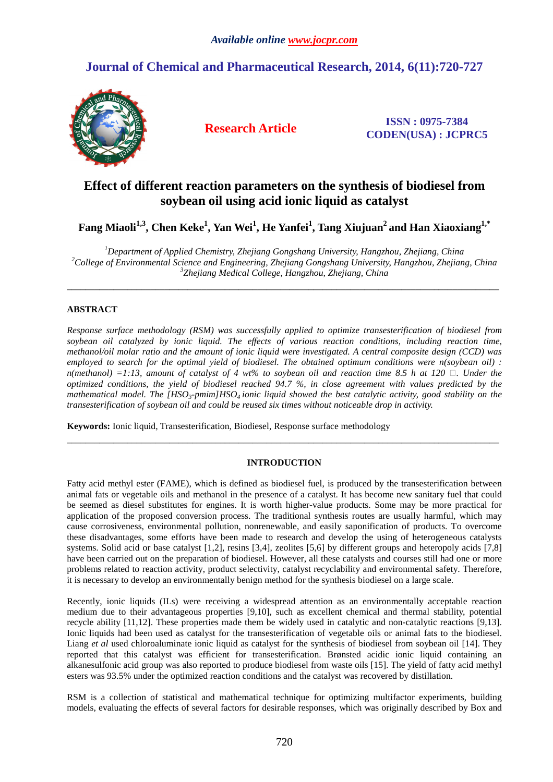# **Journal of Chemical and Pharmaceutical Research, 2014, 6(11):720-727**



**Research Article ISSN : 0975-7384 CODEN(USA) : JCPRC5**

# **Effect of different reaction parameters on the synthesis of biodiesel from soybean oil using acid ionic liquid as catalyst**

**Fang Miaoli1,3, Chen Keke<sup>1</sup> , Yan Wei<sup>1</sup> , He Yanfei<sup>1</sup> , Tang Xiujuan<sup>2</sup>and Han Xiaoxiang1,\*** 

*<sup>1</sup>Department of Applied Chemistry, Zhejiang Gongshang University, Hangzhou, Zhejiang, China <sup>2</sup>College of Environmental Science and Engineering, Zhejiang Gongshang University, Hangzhou, Zhejiang, China 3 Zhejiang Medical College, Hangzhou, Zhejiang, China*

\_\_\_\_\_\_\_\_\_\_\_\_\_\_\_\_\_\_\_\_\_\_\_\_\_\_\_\_\_\_\_\_\_\_\_\_\_\_\_\_\_\_\_\_\_\_\_\_\_\_\_\_\_\_\_\_\_\_\_\_\_\_\_\_\_\_\_\_\_\_\_\_\_\_\_\_\_\_\_\_\_\_\_\_\_\_\_\_\_\_\_\_\_

## **ABSTRACT**

*Response surface methodology (RSM) was successfully applied to optimize transesterification of biodiesel from soybean oil catalyzed by ionic liquid. The effects of various reaction conditions, including reaction time, methanol/oil molar ratio and the amount of ionic liquid were investigated. A central composite design (CCD) was employed to search for the optimal yield of biodiesel. The obtained optimum conditions were n(soybean oil) :*  $n(methanol) = 1:13$ , amount of catalyst of 4 wt% to soybean oil and reaction time 8.5 h at 120  $\Box$ . Under the *optimized conditions, the yield of biodiesel reached 94.7 %, in close agreement with values predicted by the mathematical model. The [HSO3-pmim]HSO4 ionic liquid showed the best catalytic activity, good stability on the transesterification of soybean oil and could be reused six times without noticeable drop in activity.* 

**Keywords:** Ionic liquid, Transesterification, Biodiesel, Response surface methodology

## **INTRODUCTION**

\_\_\_\_\_\_\_\_\_\_\_\_\_\_\_\_\_\_\_\_\_\_\_\_\_\_\_\_\_\_\_\_\_\_\_\_\_\_\_\_\_\_\_\_\_\_\_\_\_\_\_\_\_\_\_\_\_\_\_\_\_\_\_\_\_\_\_\_\_\_\_\_\_\_\_\_\_\_\_\_\_\_\_\_\_\_\_\_\_\_\_\_\_

Fatty acid methyl ester (FAME), which is defined as biodiesel fuel, is produced by the transesterification between animal fats or vegetable oils and methanol in the presence of a catalyst. It has become new sanitary fuel that could be seemed as diesel substitutes for engines. It is worth higher-value products. Some may be more practical for application of the proposed conversion process. The traditional synthesis routes are usually harmful, which may cause corrosiveness, environmental pollution, nonrenewable, and easily saponification of products. To overcome these disadvantages, some efforts have been made to research and develop the using of heterogeneous catalysts systems. Solid acid or base catalyst [1,2], resins [3,4], zeolites [5,6] by different groups and heteropoly acids [7,8] have been carried out on the preparation of biodiesel. However, all these catalysts and courses still had one or more problems related to reaction activity, product selectivity, catalyst recyclability and environmental safety. Therefore, it is necessary to develop an environmentally benign method for the synthesis biodiesel on a large scale.

Recently, ionic liquids (ILs) were receiving a widespread attention as an environmentally acceptable reaction medium due to their advantageous properties [9,10], such as excellent chemical and thermal stability, potential recycle ability [11,12]. These properties made them be widely used in catalytic and non-catalytic reactions [9,13]. Ionic liquids had been used as catalyst for the transesterification of vegetable oils or animal fats to the biodiesel. Liang *et al* used chloroaluminate ionic liquid as catalyst for the synthesis of biodiesel from soybean oil [14]. They reported that this catalyst was efficient for transesterification. Brønsted acidic ionic liquid containing an alkanesulfonic acid group was also reported to produce biodiesel from waste oils [15]. The yield of fatty acid methyl esters was 93.5% under the optimized reaction conditions and the catalyst was recovered by distillation.

RSM is a collection of statistical and mathematical technique for optimizing multifactor experiments, building models, evaluating the effects of several factors for desirable responses, which was originally described by Box and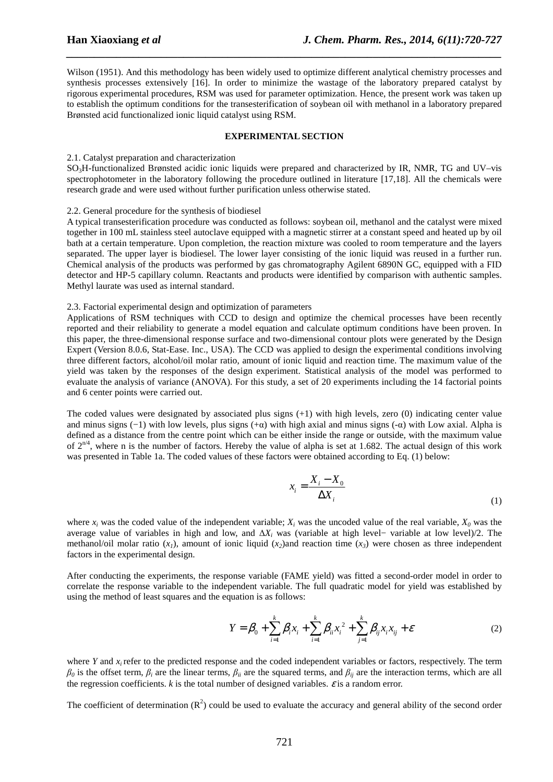Wilson (1951). And this methodology has been widely used to optimize different analytical chemistry processes and synthesis processes extensively [16]. In order to minimize the wastage of the laboratory prepared catalyst by rigorous experimental procedures, RSM was used for parameter optimization. Hence, the present work was taken up to establish the optimum conditions for the transesterification of soybean oil with methanol in a laboratory prepared Brønsted acid functionalized ionic liquid catalyst using RSM.

*\_\_\_\_\_\_\_\_\_\_\_\_\_\_\_\_\_\_\_\_\_\_\_\_\_\_\_\_\_\_\_\_\_\_\_\_\_\_\_\_\_\_\_\_\_\_\_\_\_\_\_\_\_\_\_\_\_\_\_\_\_\_\_\_\_\_\_\_\_\_\_\_\_\_\_\_\_\_*

#### **EXPERIMENTAL SECTION**

#### 2.1. Catalyst preparation and characterization

SO3H-functionalized Brønsted acidic ionic liquids were prepared and characterized by IR, NMR, TG and UV–vis spectrophotometer in the laboratory following the procedure outlined in literature [17,18]. All the chemicals were research grade and were used without further purification unless otherwise stated.

#### 2.2. General procedure for the synthesis of biodiesel

A typical transesterification procedure was conducted as follows: soybean oil, methanol and the catalyst were mixed together in 100 mL stainless steel autoclave equipped with a magnetic stirrer at a constant speed and heated up by oil bath at a certain temperature. Upon completion, the reaction mixture was cooled to room temperature and the layers separated. The upper layer is biodiesel. The lower layer consisting of the ionic liquid was reused in a further run. Chemical analysis of the products was performed by gas chromatography Agilent 6890N GC, equipped with a FID detector and HP-5 capillary column. Reactants and products were identified by comparison with authentic samples. Methyl laurate was used as internal standard.

#### 2.3. Factorial experimental design and optimization of parameters

Applications of RSM techniques with CCD to design and optimize the chemical processes have been recently reported and their reliability to generate a model equation and calculate optimum conditions have been proven. In this paper, the three-dimensional response surface and two-dimensional contour plots were generated by the Design Expert (Version 8.0.6, Stat-Ease. Inc., USA). The CCD was applied to design the experimental conditions involving three different factors, alcohol/oil molar ratio, amount of ionic liquid and reaction time. The maximum value of the yield was taken by the responses of the design experiment. Statistical analysis of the model was performed to evaluate the analysis of variance (ANOVA). For this study, a set of 20 experiments including the 14 factorial points and 6 center points were carried out.

The coded values were designated by associated plus signs  $(+1)$  with high levels, zero  $(0)$  indicating center value and minus signs  $(-1)$  with low levels, plus signs  $(+\alpha)$  with high axial and minus signs  $(-\alpha)$  with Low axial. Alpha is defined as a distance from the centre point which can be either inside the range or outside, with the maximum value of  $2^{n/4}$ , where n is the number of factors. Hereby the value of alpha is set at 1.682. The actual design of this work was presented in Table 1a. The coded values of these factors were obtained according to Eq. (1) below:

$$
x_i = \frac{X_i - X_0}{\Delta X_i} \tag{1}
$$

where  $x_i$  was the coded value of the independent variable;  $X_i$  was the uncoded value of the real variable,  $X_0$  was the average value of variables in high and low, and ∆*X<sup>i</sup>* was (variable at high level− variable at low level)/2. The methanol/oil molar ratio  $(x_i)$ , amount of ionic liquid  $(x_2)$  and reaction time  $(x_3)$  were chosen as three independent factors in the experimental design.

After conducting the experiments, the response variable (FAME yield) was fitted a second-order model in order to correlate the response variable to the independent variable. The full quadratic model for yield was established by using the method of least squares and the equation is as follows:

$$
Y = \beta_0 + \sum_{i=1}^{k} \beta_i x_i + \sum_{i=1}^{k} \beta_{ii} x_i^2 + \sum_{j=1}^{k} \beta_{ij} x_i x_{ij} + \varepsilon
$$
 (2)

where *Y* and  $x_i$  refer to the predicted response and the coded independent variables or factors, respectively. The term  $β$ <sup>0</sup> is the offset term,  $β$ <sup>*i*</sup> are the linear terms,  $β$ <sup>*i*</sup> are the squared terms, and  $β$ <sup>*i*</sup> are the interaction terms, which are all the regression coefficients.  $k$  is the total number of designed variables.  $\varepsilon$  is a random error.

The coefficient of determination  $(R^2)$  could be used to evaluate the accuracy and general ability of the second order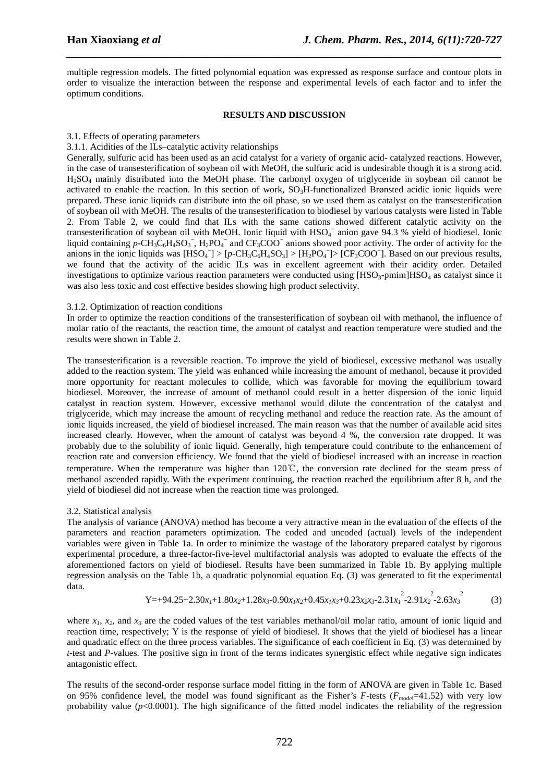multiple regression models. The fitted polynomial equation was expressed as response surface and contour plots in order to visualize the interaction between the response and experimental levels of each factor and to infer the optimum conditions.

*\_\_\_\_\_\_\_\_\_\_\_\_\_\_\_\_\_\_\_\_\_\_\_\_\_\_\_\_\_\_\_\_\_\_\_\_\_\_\_\_\_\_\_\_\_\_\_\_\_\_\_\_\_\_\_\_\_\_\_\_\_\_\_\_\_\_\_\_\_\_\_\_\_\_\_\_\_\_*

#### **RESULTS AND DISCUSSION**

#### 3.1. Effects of operating parameters

#### 3.1.1. Acidities of the ILs–catalytic activity relationships

Generally, sulfuric acid has been used as an acid catalyst for a variety of organic acid- catalyzed reactions. However, in the case of transesterification of soybean oil with MeOH, the sulfuric acid is undesirable though it is a strong acid. H2SO4 mainly distributed into the MeOH phase. The carbonyl oxygen of triglyceride in soybean oil cannot be activated to enable the reaction. In this section of work,  $SO<sub>3</sub>H$ -functionalized Brønsted acidic ionic liquids were prepared. These ionic liquids can distribute into the oil phase, so we used them as catalyst on the transesterification of soybean oil with MeOH. The results of the transesterification to biodiesel by various catalysts were listed in Table 2. From Table 2, we could find that ILs with the same cations showed different catalytic activity on the transesterification of soybean oil with MeOH. Ionic liquid with HSO<sub>4</sub><sup>-</sup> anion gave 94.3 % yield of biodiesel. Ionic liquid containing  $p$ -CH<sub>3</sub>C<sub>6</sub>H<sub>4</sub>SO<sub>3</sub><sup>-</sup>, H<sub>2</sub>PO<sub>4</sub><sup>-</sup> and CF<sub>3</sub>COO<sup>-</sup> anions showed poor activity. The order of activity for the anions in the ionic liquids was  $[HSO_4^-] > [p\text{-}CH_3C_6H_4SO_3] > [H_2PO_4^-] > [CF_3COO^-]$ . Based on our previous results, we found that the activity of the acidic ILs was in excellent agreement with their acidity order. Detailed investigations to optimize various reaction parameters were conducted using  $[HSO<sub>3</sub>-pmin]HSO<sub>4</sub>$  as catalyst since it was also less toxic and cost effective besides showing high product selectivity.

#### 3.1.2. Optimization of reaction conditions

In order to optimize the reaction conditions of the transesterification of soybean oil with methanol, the influence of molar ratio of the reactants, the reaction time, the amount of catalyst and reaction temperature were studied and the results were shown in Table 2.

The transesterification is a reversible reaction. To improve the yield of biodiesel, excessive methanol was usually added to the reaction system. The yield was enhanced while increasing the amount of methanol, because it provided more opportunity for reactant molecules to collide, which was favorable for moving the equilibrium toward biodiesel. Moreover, the increase of amount of methanol could result in a better dispersion of the ionic liquid catalyst in reaction system. However, excessive methanol would dilute the concentration of the catalyst and triglyceride, which may increase the amount of recycling methanol and reduce the reaction rate. As the amount of ionic liquids increased, the yield of biodiesel increased. The main reason was that the number of available acid sites increased clearly. However, when the amount of catalyst was beyond 4 %, the conversion rate dropped. It was probably due to the solubility of ionic liquid. Generally, high temperature could contribute to the enhancement of reaction rate and conversion efficiency. We found that the yield of biodiesel increased with an increase in reaction temperature. When the temperature was higher than 120℃, the conversion rate declined for the steam press of methanol ascended rapidly. With the experiment continuing, the reaction reached the equilibrium after 8 h, and the yield of biodiesel did not increase when the reaction time was prolonged.

### 3.2. Statistical analysis

The analysis of variance (ANOVA) method has become a very attractive mean in the evaluation of the effects of the parameters and reaction parameters optimization. The coded and uncoded (actual) levels of the independent variables were given in Table 1a. In order to minimize the wastage of the laboratory prepared catalyst by rigorous experimental procedure, a three-factor-five-level multifactorial analysis was adopted to evaluate the effects of the aforementioned factors on yield of biodiesel. Results have been summarized in Table 1b. By applying multiple regression analysis on the Table 1b, a quadratic polynomial equation Eq. (3) was generated to fit the experimental data.

$$
Y=+94.25+2.30x_1+1.80x_2+1.28x_3-0.90x_1x_2+0.45x_1x_3+0.23x_2x_3-2.31x_1^2-2.91x_2^2-2.63x_3^2
$$
 (3)

where  $x_1$ ,  $x_2$ , and  $x_3$  are the coded values of the test variables methanol/oil molar ratio, amount of ionic liquid and reaction time, respectively; Y is the response of yield of biodiesel. It shows that the yield of biodiesel has a linear and quadratic effect on the three process variables. The significance of each coefficient in Eq. (3) was determined by *t*-test and *P*-values. The positive sign in front of the terms indicates synergistic effect while negative sign indicates antagonistic effect.

The results of the second-order response surface model fitting in the form of ANOVA are given in Table 1c. Based on 95% confidence level, the model was found significant as the Fisher's  $F$ -tests ( $F_{\text{model}}=41.52$ ) with very low probability value  $(p<0.0001)$ . The high significance of the fitted model indicates the reliability of the regression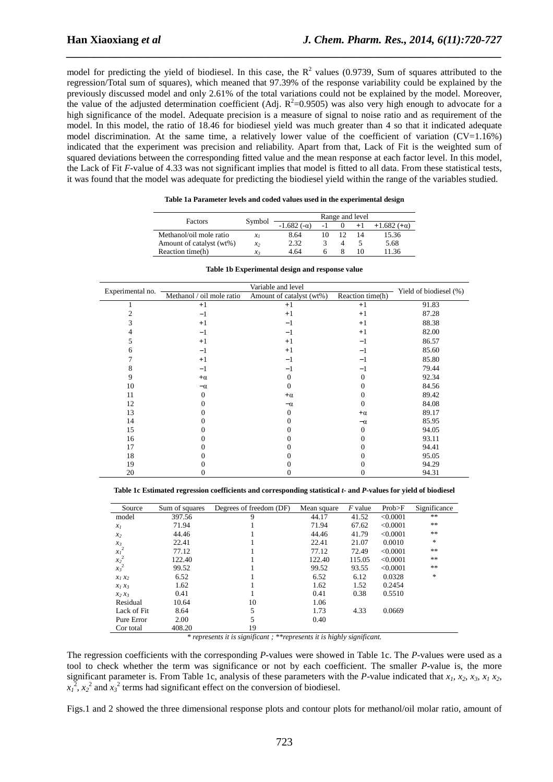model for predicting the yield of biodiesel. In this case, the  $\mathbb{R}^2$  values (0.9739, Sum of squares attributed to the regression/Total sum of squares), which meaned that 97.39% of the response variability could be explained by the previously discussed model and only 2.61% of the total variations could not be explained by the model. Moreover, the value of the adjusted determination coefficient (Adj.  $R^2$ =0.9505) was also very high enough to advocate for a high significance of the model. Adequate precision is a measure of signal to noise ratio and as requirement of the model. In this model, the ratio of 18.46 for biodiesel yield was much greater than 4 so that it indicated adequate model discrimination. At the same time, a relatively lower value of the coefficient of variation (CV=1.16%) indicated that the experiment was precision and reliability. Apart from that, Lack of Fit is the weighted sum of squared deviations between the corresponding fitted value and the mean response at each factor level. In this model, the Lack of Fit *F-*value of 4.33 was not significant implies that model is fitted to all data. From these statistical tests, it was found that the model was adequate for predicting the biodiesel yield within the range of the variables studied.

*\_\_\_\_\_\_\_\_\_\_\_\_\_\_\_\_\_\_\_\_\_\_\_\_\_\_\_\_\_\_\_\_\_\_\_\_\_\_\_\_\_\_\_\_\_\_\_\_\_\_\_\_\_\_\_\_\_\_\_\_\_\_\_\_\_\_\_\_\_\_\_\_\_\_\_\_\_\_*

| Factors                  | Symbol  |                   |                   | Range and level |       |
|--------------------------|---------|-------------------|-------------------|-----------------|-------|
|                          |         | $-1.682(-\alpha)$ | $+1.682(+\alpha)$ |                 |       |
| Methanol/oil mole ratio  | $x_{I}$ | 8.64              |                   |                 | 15.36 |
| Amount of catalyst (wt%) | $x_2$   | 2.32              |                   |                 | 5.68  |
| Reaction time(h)         | $x_3$   | 4.64              |                   | 10              | 11.36 |

| Table 1a Parameter levels and coded values used in the experimental design |  |  |
|----------------------------------------------------------------------------|--|--|
|----------------------------------------------------------------------------|--|--|

| Experimental no. | Variable and level        |                          |                  |                        |
|------------------|---------------------------|--------------------------|------------------|------------------------|
|                  | Methanol / oil mole ratio | Amount of catalyst (wt%) | Reaction time(h) | Yield of biodiesel (%) |
|                  | $+1$                      | $+1$                     | $+1$             | 91.83                  |
| 2                | $-1$                      | $+1$                     | $+1$             | 87.28                  |
| 3                | $+1$                      | $-1$                     | $+1$             | 88.38                  |
| 4                | $-1$                      | $-1$                     | $+1$             | 82.00                  |
| 5                | $+1$                      | $+1$                     | $-1$             | 86.57                  |
| 6                | $-1$                      | $+1$                     | $-1$             | 85.60                  |
| 7                | $+1$                      | $-1$                     | $-1$             | 85.80                  |
| 8                | $-1$                      | $-1$                     | $-1$             | 79.44                  |
| 9                | $+\alpha$                 | $\theta$                 | 0                | 92.34                  |
| 10               | $-\alpha$                 | $\theta$                 | 0                | 84.56                  |
| 11               | $\mathbf{0}$              | $+\alpha$                | $^{(1)}$         | 89.42                  |
| 12               | 0                         | $-\alpha$                | $\Omega$         | 84.08                  |
| 13               |                           | $\theta$                 | $+\alpha$        | 89.17                  |
| 14               |                           | 0                        | $-\alpha$        | 85.95                  |
| 15               |                           | 0                        | $\Omega$         | 94.05                  |
| 16               |                           | 0                        | 0                | 93.11                  |
| 17               |                           |                          |                  | 94.41                  |
| 18               |                           |                          |                  | 95.05                  |
| 19               |                           |                          |                  | 94.29                  |
| 20               |                           | 0                        |                  | 94.31                  |

|  |  |  |  |  |  | Table 1b Experimental design and response value |
|--|--|--|--|--|--|-------------------------------------------------|
|--|--|--|--|--|--|-------------------------------------------------|

**Table 1c Estimated regression coefficients and corresponding statistical** *t***- and** *P***-values for yield of biodiesel** 

| Source                                        | Sum of squares | Degrees of freedom (DF) | Mean square | <i>F</i> value | Prob>F   | Significance |
|-----------------------------------------------|----------------|-------------------------|-------------|----------------|----------|--------------|
| model                                         | 397.56         | 9                       | 44.17       | 41.52          | < 0.0001 | **           |
| $x_I$                                         | 71.94          |                         | 71.94       | 67.62          | < 0.0001 | $\ast\ast$   |
| x <sub>2</sub>                                | 44.46          |                         | 44.46       | 41.79          | < 0.0001 | $\ast\ast$   |
| $x_3$                                         | 22.41          |                         | 22.41       | 21.07          | 0.0010   | $\ast$       |
| $x_I^2$                                       | 77.12          |                         | 77.12       | 72.49          | < 0.0001 | $\ast\ast$   |
| $\begin{array}{c} x_2^2 \\ x_3^2 \end{array}$ | 122.40         |                         | 122.40      | 115.05         | <0.0001  | $\ast\ast$   |
|                                               | 99.52          |                         | 99.52       | 93.55          | < 0.0001 | $\ast\ast$   |
| $x_1 x_2$                                     | 6.52           |                         | 6.52        | 6.12           | 0.0328   | $\ast$       |
| $x_1 x_3$                                     | 1.62           |                         | 1.62        | 1.52           | 0.2454   |              |
| $x_2 x_3$                                     | 0.41           |                         | 0.41        | 0.38           | 0.5510   |              |
| Residual                                      | 10.64          | 10                      | 1.06        |                |          |              |
| Lack of Fit.                                  | 8.64           | 5                       | 1.73        | 4.33           | 0.0669   |              |
| Pure Error                                    | 2.00           | 5                       | 0.40        |                |          |              |
| Cor total                                     | 408.20         | 19                      |             |                |          |              |

*\* represents it is significant ; \*\*represents it is highly significant.* 

The regression coefficients with the corresponding *P*-values were showed in Table 1c. The *P*-values were used as a tool to check whether the term was significance or not by each coefficient. The smaller *P*-value is, the more significant parameter is. From Table 1c, analysis of these parameters with the *P*-value indicated that  $x_1$ ,  $x_2$ ,  $x_3$ ,  $x_1$ ,  $x_2$ ,  $x_1^2$ ,  $x_2^2$  and  $x_3^2$  terms had significant effect on the conversion of biodiesel.

Figs.1 and 2 showed the three dimensional response plots and contour plots for methanol/oil molar ratio, amount of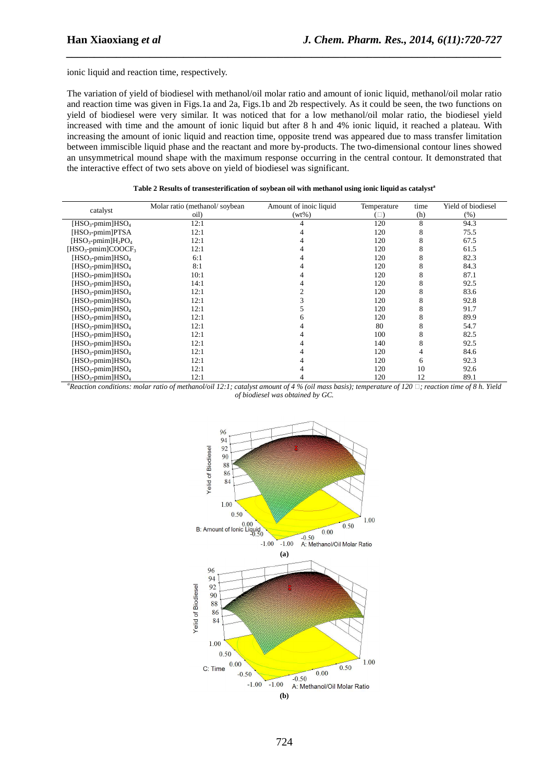ionic liquid and reaction time, respectively.

The variation of yield of biodiesel with methanol/oil molar ratio and amount of ionic liquid, methanol/oil molar ratio and reaction time was given in Figs.1a and 2a, Figs.1b and 2b respectively. As it could be seen, the two functions on yield of biodiesel were very similar. It was noticed that for a low methanol/oil molar ratio, the biodiesel yield increased with time and the amount of ionic liquid but after 8 h and 4% ionic liquid, it reached a plateau. With increasing the amount of ionic liquid and reaction time, opposite trend was appeared due to mass transfer limitation between immiscible liquid phase and the reactant and more by-products. The two-dimensional contour lines showed an unsymmetrical mound shape with the maximum response occurring in the central contour. It demonstrated that the interactive effect of two sets above on yield of biodiesel was significant.

*\_\_\_\_\_\_\_\_\_\_\_\_\_\_\_\_\_\_\_\_\_\_\_\_\_\_\_\_\_\_\_\_\_\_\_\_\_\_\_\_\_\_\_\_\_\_\_\_\_\_\_\_\_\_\_\_\_\_\_\_\_\_\_\_\_\_\_\_\_\_\_\_\_\_\_\_\_\_*

|                                            | Molar ratio (methanol/soybean | Amount of inoic liquid | Temperature | time | Yield of biodiesel |
|--------------------------------------------|-------------------------------|------------------------|-------------|------|--------------------|
| catalyst                                   | oil)                          | $(wt\%)$               | $(\Box)$    | (h)  | (% )               |
| $[HSO3-pmin]HSO4$                          | 12:1                          |                        | 120         | 8    | 94.3               |
| $[HSO_3$ -pmim $]PTSA$                     | 12:1                          |                        | 120         | 8    | 75.5               |
| $[HSO3-pmin]H2PO4$                         | 12:1                          |                        | 120         | 8    | 67.5               |
| [HSO <sub>3</sub> -pmim]COOCF <sub>3</sub> | 12:1                          |                        | 120         | 8    | 61.5               |
| $[HSO3-pmin]HSO4$                          | 6:1                           |                        | 120         | 8    | 82.3               |
| $[HSO_3$ -pmim $]HSO_4$                    | 8:1                           |                        | 120         | 8    | 84.3               |
| $[HSO3-pmin]HSO4$                          | 10:1                          |                        | 120         | 8    | 87.1               |
| $[HSO_3$ -pmim $]HSO_4$                    | 14:1                          |                        | 120         | 8    | 92.5               |
| $[HSO3-pmin]HSO4$                          | 12:1                          |                        | 120         | 8    | 83.6               |
| $[HSO_3$ -pmim $]HSO_4$                    | 12:1                          |                        | 120         | 8    | 92.8               |
| $[HSO_3$ -pmim $]HSO_4$                    | 12:1                          |                        | 120         | 8    | 91.7               |
| $[HSO_{3}$ -pmim $]HSO_{4}$                | 12:1                          |                        | 120         | 8    | 89.9               |
| $[HSO_3$ -pmim $]HSO_4$                    | 12:1                          |                        | 80          | 8    | 54.7               |
| $[HSO3-pmin]HSO4$                          | 12:1                          |                        | 100         | 8    | 82.5               |
| $[HSO3-pmin]HSO4$                          | 12:1                          |                        | 140         | 8    | 92.5               |
| $[HSO3-pmin]HSO4$                          | 12:1                          |                        | 120         | 4    | 84.6               |
| $[HSO_3$ -pmim $]HSO_4$                    | 12:1                          |                        | 120         | 6    | 92.3               |
| $[HSO3-pmin]HSO4$                          | 12:1                          |                        | 120         | 10   | 92.6               |
| $[HSO_{3}$ -pmim $]HSO_{4}$                | 12:1                          |                        | 120         | 12   | 89.1               |

| Table 2 Results of transesterification of soybean oil with methanol using ionic liquid as catalyst <sup>a</sup> |  |
|-----------------------------------------------------------------------------------------------------------------|--|
|-----------------------------------------------------------------------------------------------------------------|--|

*<sup>a</sup>Reaction conditions: molar ratio of methanol/oil 12:1; catalyst amount of 4 % (oil mass basis); temperature of 120 ; reaction time of 8 h. Yield of biodiesel was obtained by GC.* 

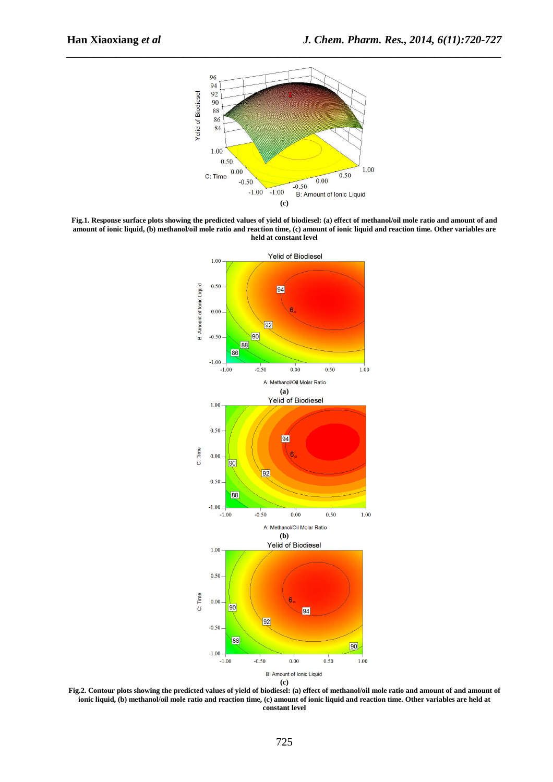

*\_\_\_\_\_\_\_\_\_\_\_\_\_\_\_\_\_\_\_\_\_\_\_\_\_\_\_\_\_\_\_\_\_\_\_\_\_\_\_\_\_\_\_\_\_\_\_\_\_\_\_\_\_\_\_\_\_\_\_\_\_\_\_\_\_\_\_\_\_\_\_\_\_\_\_\_\_\_*

**Fig.1. Response surface plots showing the predicted values of yield of biodiesel: (a) effect of methanol/oil mole ratio and amount of and amount of ionic liquid, (b) methanol/oil mole ratio and reaction time, (c) amount of ionic liquid and reaction time. Other variables are held at constant level** 



**Fig.2. Contour plots showing the predicted values of yield of biodiesel: (a) effect of methanol/oil mole ratio and amount of and amount of ionic liquid, (b) methanol/oil mole ratio and reaction time, (c) amount of ionic liquid and reaction time. Other variables are held at constant level**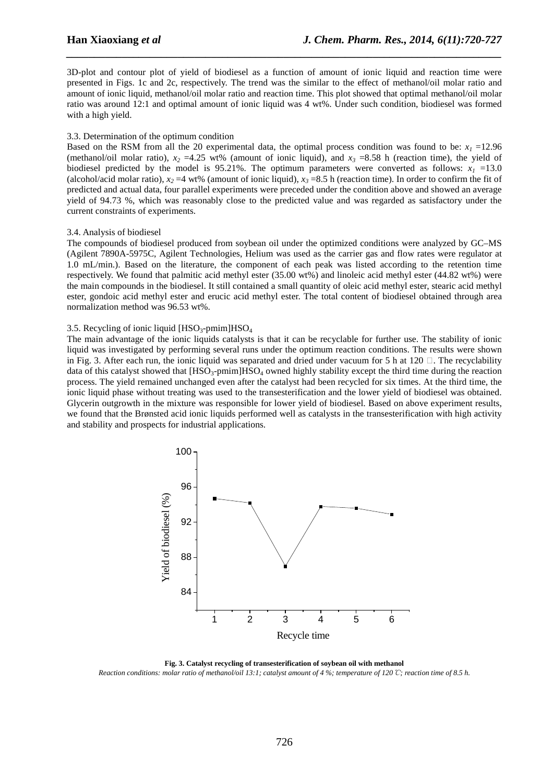3D-plot and contour plot of yield of biodiesel as a function of amount of ionic liquid and reaction time were presented in Figs. 1c and 2c, respectively. The trend was the similar to the effect of methanol/oil molar ratio and amount of ionic liquid, methanol/oil molar ratio and reaction time. This plot showed that optimal methanol/oil molar ratio was around 12:1 and optimal amount of ionic liquid was 4 wt%. Under such condition, biodiesel was formed with a high yield.

*\_\_\_\_\_\_\_\_\_\_\_\_\_\_\_\_\_\_\_\_\_\_\_\_\_\_\_\_\_\_\_\_\_\_\_\_\_\_\_\_\_\_\_\_\_\_\_\_\_\_\_\_\_\_\_\_\_\_\_\_\_\_\_\_\_\_\_\_\_\_\_\_\_\_\_\_\_\_*

#### 3.3. Determination of the optimum condition

Based on the RSM from all the 20 experimental data, the optimal process condition was found to be:  $x<sub>1</sub> = 12.96$ (methanol/oil molar ratio),  $x_2 = 4.25$  wt% (amount of ionic liquid), and  $x_3 = 8.58$  h (reaction time), the yield of biodiesel predicted by the model is 95.21%. The optimum parameters were converted as follows:  $x<sub>1</sub> = 13.0$ (alcohol/acid molar ratio),  $x_2 = 4$  wt% (amount of ionic liquid),  $x_3 = 8.5$  h (reaction time). In order to confirm the fit of predicted and actual data, four parallel experiments were preceded under the condition above and showed an average yield of 94.73 %, which was reasonably close to the predicted value and was regarded as satisfactory under the current constraints of experiments.

#### 3.4. Analysis of biodiesel

The compounds of biodiesel produced from soybean oil under the optimized conditions were analyzed by GC–MS (Agilent 7890A-5975C, Agilent Technologies, Helium was used as the carrier gas and flow rates were regulator at 1.0 mL/min.). Based on the literature, the component of each peak was listed according to the retention time respectively. We found that palmitic acid methyl ester (35.00 wt%) and linoleic acid methyl ester (44.82 wt%) were the main compounds in the biodiesel. It still contained a small quantity of oleic acid methyl ester, stearic acid methyl ester, gondoic acid methyl ester and erucic acid methyl ester. The total content of biodiesel obtained through area normalization method was 96.53 wt%.

#### 3.5. Recycling of ionic liquid  $[HSO_3$ -pmim $]HSO_4$

The main advantage of the ionic liquids catalysts is that it can be recyclable for further use. The stability of ionic liquid was investigated by performing several runs under the optimum reaction conditions. The results were shown in Fig. 3. After each run, the ionic liquid was separated and dried under vacuum for 5 h at 120  $\Box$ . The recyclability data of this catalyst showed that  $[HSO_3$ -pmim $]HSO_4$  owned highly stability except the third time during the reaction process. The yield remained unchanged even after the catalyst had been recycled for six times. At the third time, the ionic liquid phase without treating was used to the transesterification and the lower yield of biodiesel was obtained. Glycerin outgrowth in the mixture was responsible for lower yield of biodiesel. Based on above experiment results, we found that the Brønsted acid ionic liquids performed well as catalysts in the transesterification with high activity and stability and prospects for industrial applications.



**Fig. 3. Catalyst recycling of transesterification of soybean oil with methanol**  *Reaction conditions: molar ratio of methanol/oil 13:1; catalyst amount of 4 %; temperature of 120*℃*; reaction time of 8.5 h.*